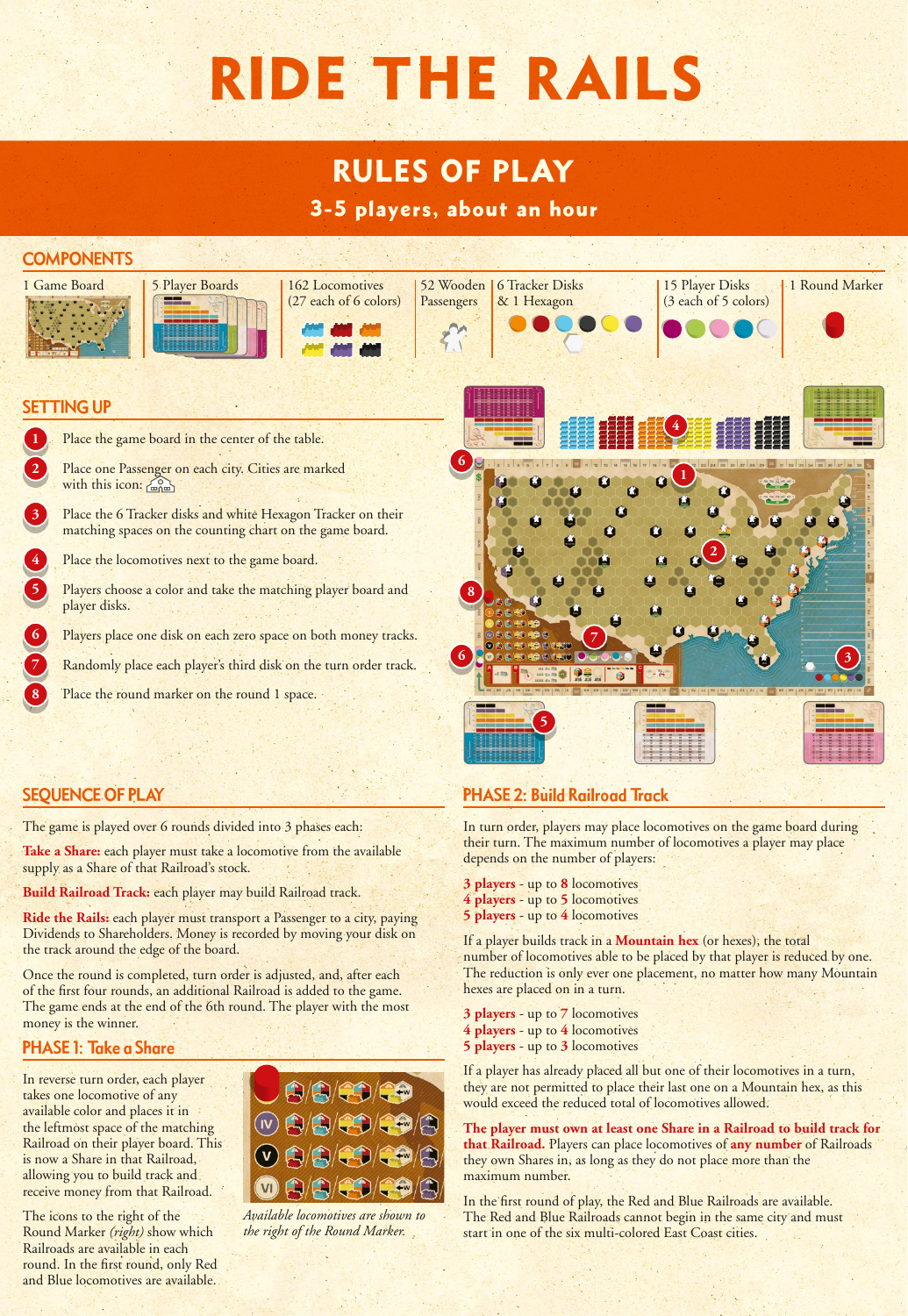# RIDE THE RAILS

# RULES OF PLAY

3-5 players, about an hour

# **COMPONENTS**











# SETTING UP

Place the game board in the center of the table.

Place one Passenger on each city. Cities are marked with this icon: com

**3** Place the 6 Tracker disks and white Hexagon Tracker on their matching spaces on the counting chart on the game board.

- Place the locomotives next to the game board.
- Players choose a color and take the matching player board and player disks.
- Players place one disk on each zero space on both money tracks.

**7** Randomly place each player's third disk on the turn order track.

Place the round marker on the round 1 space.

# SEQUENCE OF PLAY

The game is played over 6 rounds divided into 3 phases each:

**Take a Share:** each player must take a locomotive from the available supply as a Share of that Railroad's stock.

**Build Railroad Track:** each player may build Railroad track.

**Ride the Rails:** each player must transport a Passenger to a city, paying Dividends to Shareholders. Money is recorded by moving your disk on the track around the edge of the board.

Once the round is completed, turn order is adjusted, and, after each of the first four rounds, an additional Railroad is added to the game. The game ends at the end of the 6th round. The player with the most money is the winner.

### PHASE 1: Take a Share

In reverse turn order, each player takes one locomotive of any available color and places it in the leftmost space of the matching Railroad on their player board. This is now a Share in that Railroad, allowing you to build track and receive money from that Railroad.

The icons to the right of the Round Marker *(right)* show which Railroads are available in each round. In the first round, only Red and Blue locomotives are available.



*Available locomotives are shown to the right of the Round Marker.*



15 Player Disks (3 each of 5 colors)

# PHASE 2: Build Railroad Track

In turn order, players may place locomotives on the game board during their turn. The maximum number of locomotives a player may place depends on the number of players:

- **3 players** up to **8** locomotives
- **4 players** up to **5** locomotives
- **5 players** up to **4** locomotives

If a player builds track in a **Mountain hex** (or hexes), the total number of locomotives able to be placed by that player is reduced by one. The reduction is only ever one placement, no matter how many Mountain hexes are placed on in a turn.

**3 players** - up to **7** locomotives **4 players** - up to **4** locomotives **5 players** - up to **3** locomotives

If a player has already placed all but one of their locomotives in a turn, they are not permitted to place their last one on a Mountain hex, as this would exceed the reduced total of locomotives allowed.

**The player must own at least one Share in a Railroad to build track for that Railroad.** Players can place locomotives of **any number** of Railroads they own Shares in, as long as they do not place more than the maximum number.

In the first round of play, the Red and Blue Railroads are available. The Red and Blue Railroads cannot begin in the same city and must start in one of the six multi-colored East Coast cities.